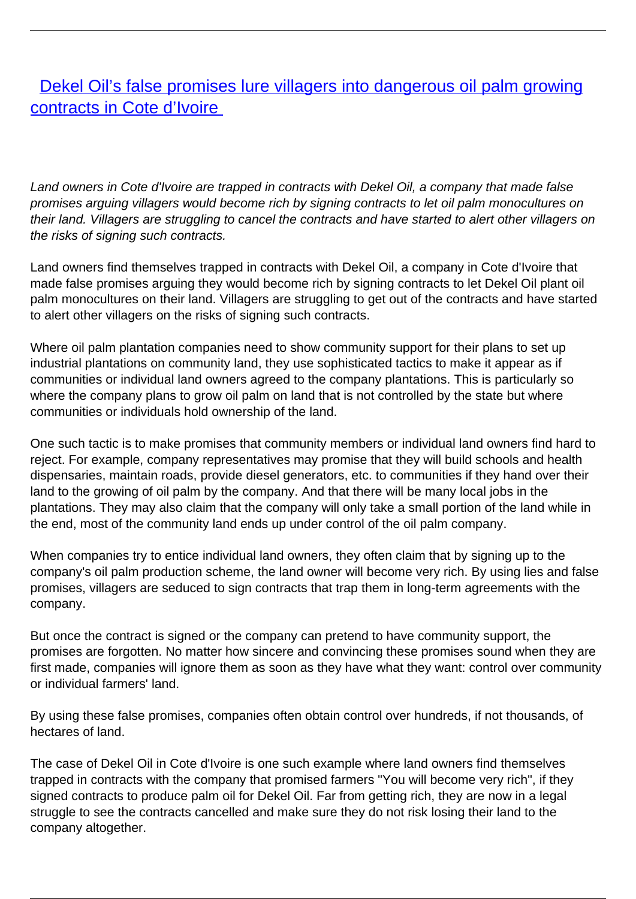## **[Dekel Oil's false promises lure villagers into dangerous oil palm growing](/bulletin-articles/dekel-oils-false-promises-lure-villagers-into-dangerous-oil-palm-growing-contracts-in-cote-divoire)** [contracts in Cote d'Ivoire](/bulletin-articles/dekel-oils-false-promises-lure-villagers-into-dangerous-oil-palm-growing-contracts-in-cote-divoire)

Land owners in Cote d'Ivoire are trapped in contracts with Dekel Oil, a company that made false promises arguing villagers would become rich by signing contracts to let oil palm monocultures on their land. Villagers are struggling to cancel the contracts and have started to alert other villagers on the risks of signing such contracts.

Land owners find themselves trapped in contracts with Dekel Oil, a company in Cote d'Ivoire that made false promises arguing they would become rich by signing contracts to let Dekel Oil plant oil palm monocultures on their land. Villagers are struggling to get out of the contracts and have started to alert other villagers on the risks of signing such contracts.

Where oil palm plantation companies need to show community support for their plans to set up industrial plantations on community land, they use sophisticated tactics to make it appear as if communities or individual land owners agreed to the company plantations. This is particularly so where the company plans to grow oil palm on land that is not controlled by the state but where communities or individuals hold ownership of the land.

One such tactic is to make promises that community members or individual land owners find hard to reject. For example, company representatives may promise that they will build schools and health dispensaries, maintain roads, provide diesel generators, etc. to communities if they hand over their land to the growing of oil palm by the company. And that there will be many local jobs in the plantations. They may also claim that the company will only take a small portion of the land while in the end, most of the community land ends up under control of the oil palm company.

When companies try to entice individual land owners, they often claim that by signing up to the company's oil palm production scheme, the land owner will become very rich. By using lies and false promises, villagers are seduced to sign contracts that trap them in long-term agreements with the company.

But once the contract is signed or the company can pretend to have community support, the promises are forgotten. No matter how sincere and convincing these promises sound when they are first made, companies will ignore them as soon as they have what they want: control over community or individual farmers' land.

By using these false promises, companies often obtain control over hundreds, if not thousands, of hectares of land.

The case of Dekel Oil in Cote d'Ivoire is one such example where land owners find themselves trapped in contracts with the company that promised farmers "You will become very rich", if they signed contracts to produce palm oil for Dekel Oil. Far from getting rich, they are now in a legal struggle to see the contracts cancelled and make sure they do not risk losing their land to the company altogether.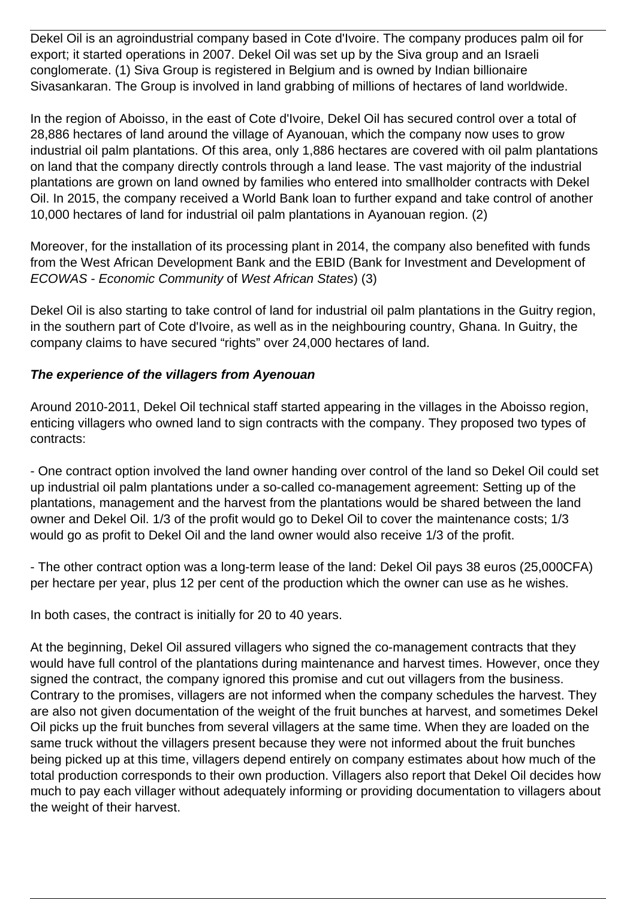Dekel Oil is an agroindustrial company based in Cote d'Ivoire. The company produces palm oil for export; it started operations in 2007. Dekel Oil was set up by the Siva group and an Israeli conglomerate. (1) Siva Group is registered in Belgium and is owned by Indian billionaire Sivasankaran. The Group is involved in land grabbing of millions of hectares of land worldwide.

In the region of Aboisso, in the east of Cote d'Ivoire, Dekel Oil has secured control over a total of 28,886 hectares of land around the village of Ayanouan, which the company now uses to grow industrial oil palm plantations. Of this area, only 1,886 hectares are covered with oil palm plantations on land that the company directly controls through a land lease. The vast majority of the industrial plantations are grown on land owned by families who entered into smallholder contracts with Dekel Oil. In 2015, the company received a World Bank loan to further expand and take control of another 10,000 hectares of land for industrial oil palm plantations in Ayanouan region. (2)

Moreover, for the installation of its processing plant in 2014, the company also benefited with funds from the West African Development Bank and the EBID (Bank for Investment and Development of ECOWAS - Economic Community of West African States) (3)

Dekel Oil is also starting to take control of land for industrial oil palm plantations in the Guitry region, in the southern part of Cote d'Ivoire, as well as in the neighbouring country, Ghana. In Guitry, the company claims to have secured "rights" over 24,000 hectares of land.

## **The experience of the villagers from Ayenouan**

Around 2010-2011, Dekel Oil technical staff started appearing in the villages in the Aboisso region, enticing villagers who owned land to sign contracts with the company. They proposed two types of contracts:

- One contract option involved the land owner handing over control of the land so Dekel Oil could set up industrial oil palm plantations under a so-called co-management agreement: Setting up of the plantations, management and the harvest from the plantations would be shared between the land owner and Dekel Oil. 1/3 of the profit would go to Dekel Oil to cover the maintenance costs; 1/3 would go as profit to Dekel Oil and the land owner would also receive 1/3 of the profit.

- The other contract option was a long-term lease of the land: Dekel Oil pays 38 euros (25,000CFA) per hectare per year, plus 12 per cent of the production which the owner can use as he wishes.

In both cases, the contract is initially for 20 to 40 years.

At the beginning, Dekel Oil assured villagers who signed the co-management contracts that they would have full control of the plantations during maintenance and harvest times. However, once they signed the contract, the company ignored this promise and cut out villagers from the business. Contrary to the promises, villagers are not informed when the company schedules the harvest. They are also not given documentation of the weight of the fruit bunches at harvest, and sometimes Dekel Oil picks up the fruit bunches from several villagers at the same time. When they are loaded on the same truck without the villagers present because they were not informed about the fruit bunches being picked up at this time, villagers depend entirely on company estimates about how much of the total production corresponds to their own production. Villagers also report that Dekel Oil decides how much to pay each villager without adequately informing or providing documentation to villagers about the weight of their harvest.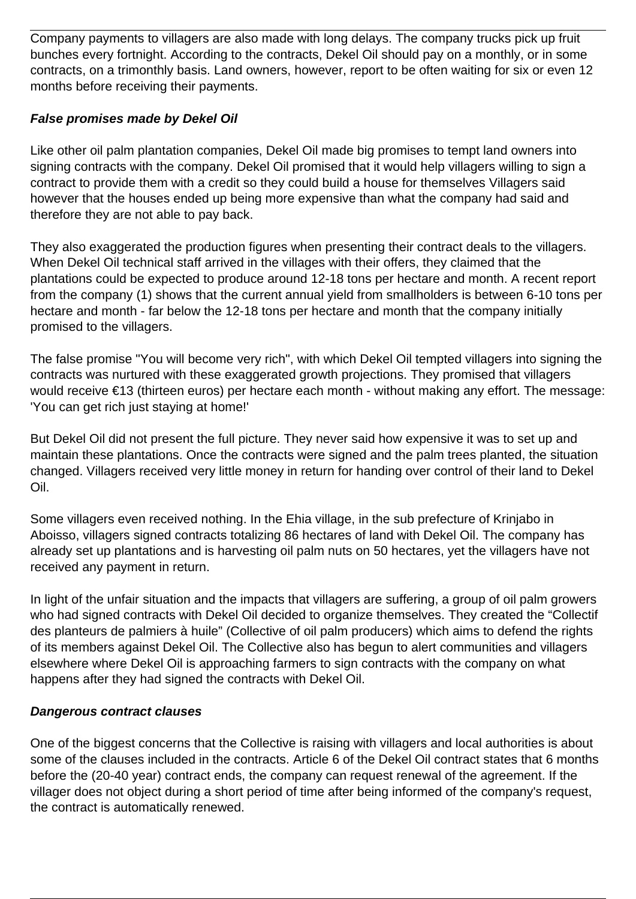Company payments to villagers are also made with long delays. The company trucks pick up fruit bunches every fortnight. According to the contracts, Dekel Oil should pay on a monthly, or in some contracts, on a trimonthly basis. Land owners, however, report to be often waiting for six or even 12 months before receiving their payments.

## **False promises made by Dekel Oil**

Like other oil palm plantation companies, Dekel Oil made big promises to tempt land owners into signing contracts with the company. Dekel Oil promised that it would help villagers willing to sign a contract to provide them with a credit so they could build a house for themselves Villagers said however that the houses ended up being more expensive than what the company had said and therefore they are not able to pay back.

They also exaggerated the production figures when presenting their contract deals to the villagers. When Dekel Oil technical staff arrived in the villages with their offers, they claimed that the plantations could be expected to produce around 12-18 tons per hectare and month. A recent report from the company (1) shows that the current annual yield from smallholders is between 6-10 tons per hectare and month - far below the 12-18 tons per hectare and month that the company initially promised to the villagers.

The false promise "You will become very rich", with which Dekel Oil tempted villagers into signing the contracts was nurtured with these exaggerated growth projections. They promised that villagers would receive €13 (thirteen euros) per hectare each month - without making any effort. The message: 'You can get rich just staying at home!'

But Dekel Oil did not present the full picture. They never said how expensive it was to set up and maintain these plantations. Once the contracts were signed and the palm trees planted, the situation changed. Villagers received very little money in return for handing over control of their land to Dekel Oil.

Some villagers even received nothing. In the Ehia village, in the sub prefecture of Krinjabo in Aboisso, villagers signed contracts totalizing 86 hectares of land with Dekel Oil. The company has already set up plantations and is harvesting oil palm nuts on 50 hectares, yet the villagers have not received any payment in return.

In light of the unfair situation and the impacts that villagers are suffering, a group of oil palm growers who had signed contracts with Dekel Oil decided to organize themselves. They created the "Collectif des planteurs de palmiers à huile" (Collective of oil palm producers) which aims to defend the rights of its members against Dekel Oil. The Collective also has begun to alert communities and villagers elsewhere where Dekel Oil is approaching farmers to sign contracts with the company on what happens after they had signed the contracts with Dekel Oil.

## **Dangerous contract clauses**

One of the biggest concerns that the Collective is raising with villagers and local authorities is about some of the clauses included in the contracts. Article 6 of the Dekel Oil contract states that 6 months before the (20-40 year) contract ends, the company can request renewal of the agreement. If the villager does not object during a short period of time after being informed of the company's request, the contract is automatically renewed.